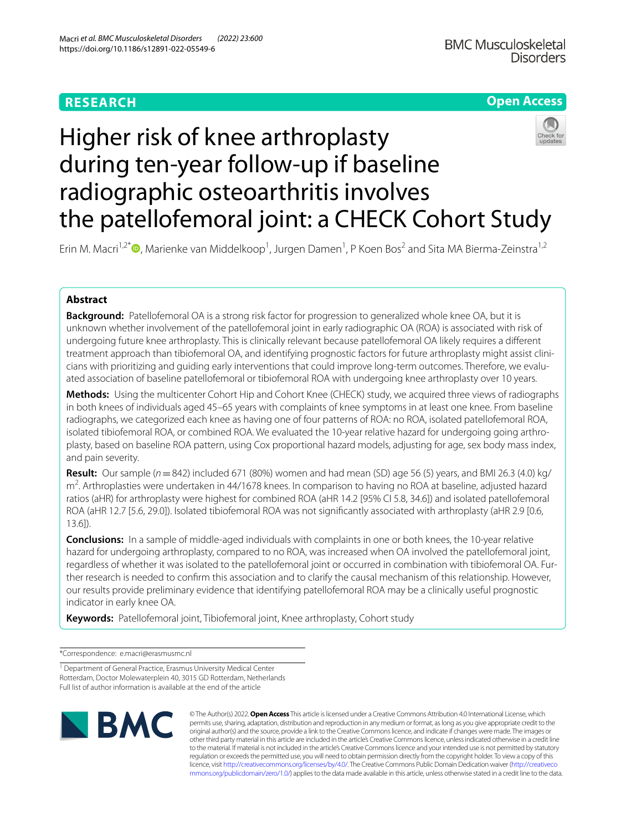# **RESEARCH**

# **Open Access**



# Higher risk of knee arthroplasty during ten-year follow-up if baseline radiographic osteoarthritis involves the patellofemoral joint: a CHECK Cohort Study

Erin M. Macri<sup>1[,](http://orcid.org/0000-0003-2798-6052)2\*</sup><sup>®</sup>, Marienke van Middelkoop<sup>1</sup>, Jurgen Damen<sup>1</sup>, P Koen Bos<sup>2</sup> and Sita MA Bierma-Zeinstra<sup>1,2</sup>

# **Abstract**

**Background:** Patellofemoral OA is a strong risk factor for progression to generalized whole knee OA, but it is unknown whether involvement of the patellofemoral joint in early radiographic OA (ROA) is associated with risk of undergoing future knee arthroplasty. This is clinically relevant because patellofemoral OA likely requires a diferent treatment approach than tibiofemoral OA, and identifying prognostic factors for future arthroplasty might assist clinicians with prioritizing and guiding early interventions that could improve long-term outcomes. Therefore, we evaluated association of baseline patellofemoral or tibiofemoral ROA with undergoing knee arthroplasty over 10 years.

**Methods:** Using the multicenter Cohort Hip and Cohort Knee (CHECK) study, we acquired three views of radiographs in both knees of individuals aged 45–65 years with complaints of knee symptoms in at least one knee. From baseline radiographs, we categorized each knee as having one of four patterns of ROA: no ROA, isolated patellofemoral ROA, isolated tibiofemoral ROA, or combined ROA. We evaluated the 10-year relative hazard for undergoing going arthroplasty, based on baseline ROA pattern, using Cox proportional hazard models, adjusting for age, sex body mass index, and pain severity.

**Result:** Our sample (*n*=842) included 671 (80%) women and had mean (SD) age 56 (5) years, and BMI 26.3 (4.0) kg/ m<sup>2</sup>. Arthroplasties were undertaken in 44/1678 knees. In comparison to having no ROA at baseline, adjusted hazard ratios (aHR) for arthroplasty were highest for combined ROA (aHR 14.2 [95% CI 5.8, 34.6]) and isolated patellofemoral ROA (aHR 12.7 [5.6, 29.0]). Isolated tibiofemoral ROA was not signifcantly associated with arthroplasty (aHR 2.9 [0.6, 13.6]).

**Conclusions:** In a sample of middle-aged individuals with complaints in one or both knees, the 10-year relative hazard for undergoing arthroplasty, compared to no ROA, was increased when OA involved the patellofemoral joint, regardless of whether it was isolated to the patellofemoral joint or occurred in combination with tibiofemoral OA. Fur‑ ther research is needed to confrm this association and to clarify the causal mechanism of this relationship. However, our results provide preliminary evidence that identifying patellofemoral ROA may be a clinically useful prognostic indicator in early knee OA.

**Keywords:** Patellofemoral joint, Tibiofemoral joint, Knee arthroplasty, Cohort study

\*Correspondence: e.macri@erasmusmc.nl

<sup>1</sup> Department of General Practice, Erasmus University Medical Center Rotterdam, Doctor Molewaterplein 40, 3015 GD Rotterdam, Netherlands Full list of author information is available at the end of the article



© The Author(s) 2022. **Open Access** This article is licensed under a Creative Commons Attribution 4.0 International License, which permits use, sharing, adaptation, distribution and reproduction in any medium or format, as long as you give appropriate credit to the original author(s) and the source, provide a link to the Creative Commons licence, and indicate if changes were made. The images or other third party material in this article are included in the article's Creative Commons licence, unless indicated otherwise in a credit line to the material. If material is not included in the article's Creative Commons licence and your intended use is not permitted by statutory regulation or exceeds the permitted use, you will need to obtain permission directly from the copyright holder. To view a copy of this licence, visit [http://creativecommons.org/licenses/by/4.0/.](http://creativecommons.org/licenses/by/4.0/) The Creative Commons Public Domain Dedication waiver ([http://creativeco](http://creativecommons.org/publicdomain/zero/1.0/) [mmons.org/publicdomain/zero/1.0/](http://creativecommons.org/publicdomain/zero/1.0/)) applies to the data made available in this article, unless otherwise stated in a credit line to the data.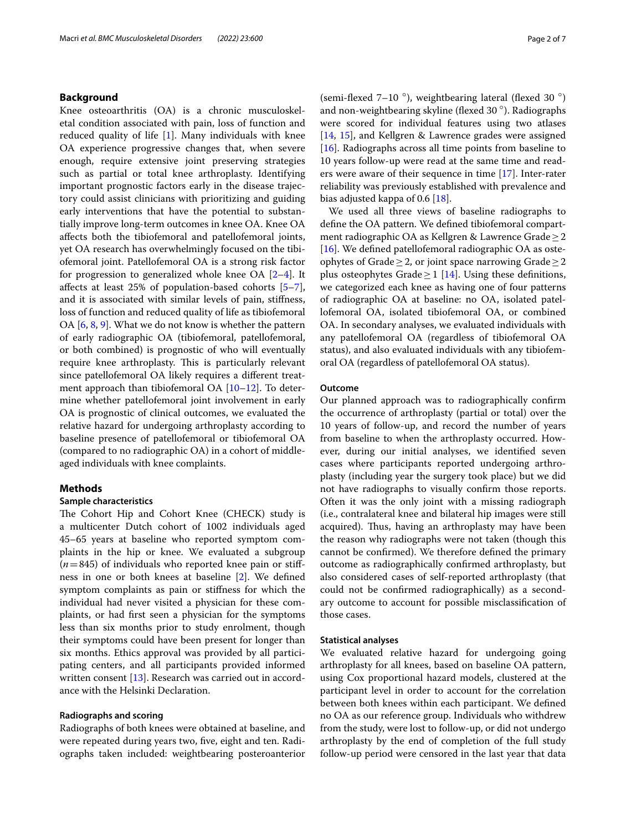# **Background**

Knee osteoarthritis (OA) is a chronic musculoskeletal condition associated with pain, loss of function and reduced quality of life [[1\]](#page-6-0). Many individuals with knee OA experience progressive changes that, when severe enough, require extensive joint preserving strategies such as partial or total knee arthroplasty. Identifying important prognostic factors early in the disease trajectory could assist clinicians with prioritizing and guiding early interventions that have the potential to substantially improve long-term outcomes in knee OA. Knee OA afects both the tibiofemoral and patellofemoral joints, yet OA research has overwhelmingly focused on the tibiofemoral joint. Patellofemoral OA is a strong risk factor for progression to generalized whole knee OA [\[2](#page-6-1)[–4](#page-6-2)]. It afects at least 25% of population-based cohorts [\[5](#page-6-3)[–7](#page-6-4)], and it is associated with similar levels of pain, stifness, loss of function and reduced quality of life as tibiofemoral OA [[6,](#page-6-5) [8](#page-6-6), [9](#page-6-7)]. What we do not know is whether the pattern of early radiographic OA (tibiofemoral, patellofemoral, or both combined) is prognostic of who will eventually require knee arthroplasty. This is particularly relevant since patellofemoral OA likely requires a diferent treatment approach than tibiofemoral OA [\[10–](#page-6-8)[12\]](#page-6-9). To determine whether patellofemoral joint involvement in early OA is prognostic of clinical outcomes, we evaluated the relative hazard for undergoing arthroplasty according to baseline presence of patellofemoral or tibiofemoral OA (compared to no radiographic OA) in a cohort of middleaged individuals with knee complaints.

# **Methods**

# **Sample characteristics**

The Cohort Hip and Cohort Knee (CHECK) study is a multicenter Dutch cohort of 1002 individuals aged 45–65 years at baseline who reported symptom complaints in the hip or knee. We evaluated a subgroup  $(n=845)$  of individuals who reported knee pain or stiffness in one or both knees at baseline [\[2](#page-6-1)]. We defned symptom complaints as pain or stifness for which the individual had never visited a physician for these complaints, or had frst seen a physician for the symptoms less than six months prior to study enrolment, though their symptoms could have been present for longer than six months. Ethics approval was provided by all participating centers, and all participants provided informed written consent [\[13](#page-6-10)]. Research was carried out in accordance with the Helsinki Declaration.

## **Radiographs and scoring**

Radiographs of both knees were obtained at baseline, and were repeated during years two, five, eight and ten. Radiographs taken included: weightbearing posteroanterior (semi-flexed 7–10  $^{\circ}$ ), weightbearing lateral (flexed 30  $^{\circ})$ and non-weightbearing skyline (fexed 30 ◦). Radiographs were scored for individual features using two atlases [[14,](#page-6-11) [15](#page-6-12)], and Kellgren & Lawrence grades were assigned [[16\]](#page-6-13). Radiographs across all time points from baseline to 10 years follow-up were read at the same time and readers were aware of their sequence in time [[17](#page-6-14)]. Inter-rater reliability was previously established with prevalence and bias adjusted kappa of 0.6 [[18](#page-6-15)].

We used all three views of baseline radiographs to defne the OA pattern. We defned tibiofemoral compartment radiographic OA as Kellgren & Lawrence Grade≥2 [[16\]](#page-6-13). We defined patellofemoral radiographic OA as osteophytes of Grade ≥ 2, or joint space narrowing Grade ≥ 2 plus osteophytes Grade  $\geq$  1 [[14\]](#page-6-11). Using these definitions, we categorized each knee as having one of four patterns of radiographic OA at baseline: no OA, isolated patellofemoral OA, isolated tibiofemoral OA, or combined OA. In secondary analyses, we evaluated individuals with any patellofemoral OA (regardless of tibiofemoral OA status), and also evaluated individuals with any tibiofemoral OA (regardless of patellofemoral OA status).

# **Outcome**

Our planned approach was to radiographically confrm the occurrence of arthroplasty (partial or total) over the 10 years of follow-up, and record the number of years from baseline to when the arthroplasty occurred. However, during our initial analyses, we identifed seven cases where participants reported undergoing arthroplasty (including year the surgery took place) but we did not have radiographs to visually confrm those reports. Often it was the only joint with a missing radiograph (i.e., contralateral knee and bilateral hip images were still acquired). Thus, having an arthroplasty may have been the reason why radiographs were not taken (though this cannot be confrmed). We therefore defned the primary outcome as radiographically confrmed arthroplasty, but also considered cases of self-reported arthroplasty (that could not be confrmed radiographically) as a secondary outcome to account for possible misclassifcation of those cases.

# **Statistical analyses**

We evaluated relative hazard for undergoing going arthroplasty for all knees, based on baseline OA pattern, using Cox proportional hazard models, clustered at the participant level in order to account for the correlation between both knees within each participant. We defned no OA as our reference group. Individuals who withdrew from the study, were lost to follow-up, or did not undergo arthroplasty by the end of completion of the full study follow-up period were censored in the last year that data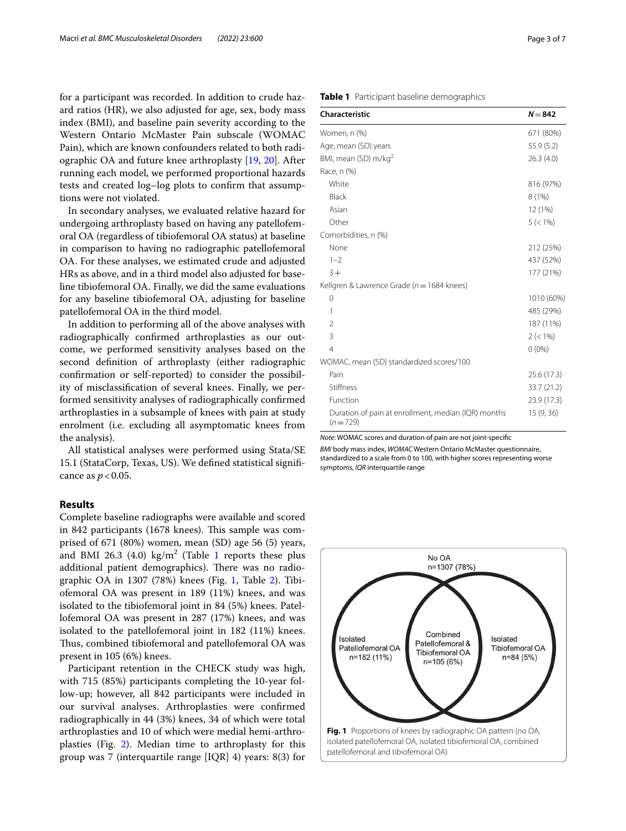for a participant was recorded. In addition to crude hazard ratios (HR), we also adjusted for age, sex, body mass index (BMI), and baseline pain severity according to the Western Ontario McMaster Pain subscale (WOMAC Pain), which are known confounders related to both radiographic OA and future knee arthroplasty [\[19](#page-6-16), [20\]](#page-6-17). After running each model, we performed proportional hazards tests and created log–log plots to confrm that assumptions were not violated.

In secondary analyses, we evaluated relative hazard for undergoing arthroplasty based on having any patellofemoral OA (regardless of tibiofemoral OA status) at baseline in comparison to having no radiographic patellofemoral OA. For these analyses, we estimated crude and adjusted HRs as above, and in a third model also adjusted for baseline tibiofemoral OA. Finally, we did the same evaluations for any baseline tibiofemoral OA, adjusting for baseline patellofemoral OA in the third model.

In addition to performing all of the above analyses with radiographically confrmed arthroplasties as our outcome, we performed sensitivity analyses based on the second defnition of arthroplasty (either radiographic confrmation or self-reported) to consider the possibility of misclassifcation of several knees. Finally, we performed sensitivity analyses of radiographically confrmed arthroplasties in a subsample of knees with pain at study enrolment (i.e. excluding all asymptomatic knees from the analysis).

All statistical analyses were performed using Stata/SE 15.1 (StataCorp, Texas, US). We defned statistical signifcance as  $p < 0.05$ .

# **Results**

Complete baseline radiographs were available and scored in 842 participants (1678 knees). This sample was comprised of 671 (80%) women, mean (SD) age 56 (5) years, and BMI 26.3  $(4.0)$  kg/m<sup>2</sup> (Table [1](#page-2-0) reports these plus additional patient demographics). There was no radiographic OA in 1307 (78%) knees (Fig. [1,](#page-2-1) Table [2\)](#page-3-0). Tibiofemoral OA was present in 189 (11%) knees, and was isolated to the tibiofemoral joint in 84 (5%) knees. Patellofemoral OA was present in 287 (17%) knees, and was isolated to the patellofemoral joint in 182 (11%) knees. Thus, combined tibiofemoral and patellofemoral OA was present in 105 (6%) knees.

Participant retention in the CHECK study was high, with 715 (85%) participants completing the 10-year follow-up; however, all 842 participants were included in our survival analyses. Arthroplasties were confrmed radiographically in 44 (3%) knees, 34 of which were total arthroplasties and 10 of which were medial hemi-arthroplasties (Fig. [2](#page-3-1)). Median time to arthroplasty for this group was 7 (interquartile range [IQR] 4) years: 8(3) for

# <span id="page-2-0"></span>**Table 1** Participant baseline demographics

| <b>Characteristic</b>                                            | $N = 842$   |
|------------------------------------------------------------------|-------------|
| Women, n (%)                                                     | 671 (80%)   |
| Age, mean (SD) years                                             | 55.9 (5.2)  |
| BMI, mean (SD) m/kg <sup>2</sup>                                 | 26.3(4.0)   |
| Race, n (%)                                                      |             |
| White                                                            | 816 (97%)   |
| Black                                                            | 8(1%)       |
| Asian                                                            | 12 (1%)     |
| Other                                                            | $5 (< 1\%)$ |
| Comorbidities, n (%)                                             |             |
| None                                                             | 212 (25%)   |
| $1 - 2$                                                          | 437 (52%)   |
| $3+$                                                             | 177 (21%)   |
| Kellgren & Lawrence Grade ( $n = 1684$ knees)                    |             |
| 0                                                                | 1010 (60%)  |
| 1                                                                | 485 (29%)   |
| $\overline{2}$                                                   | 187 (11%)   |
| 3                                                                | $2 (< 1\%)$ |
| $\overline{4}$                                                   | $0(0\%)$    |
| WOMAC, mean (SD) standardized scores/100                         |             |
| Pain                                                             | 25.6(17.3)  |
| Stiffness                                                        | 33.7 (21.2) |
| Function                                                         | 23.9 (17.3) |
| Duration of pain at enrollment, median (IQR) months<br>$(n=729)$ | 15 (9, 36)  |

*Note*: WOMAC scores and duration of pain are not joint-specifc

*BMI* body mass index, *WOMAC* Western Ontario McMaster questionnaire, standardized to a scale from 0 to 100, with higher scores representing worse symptoms, *IQR* interquartile range

<span id="page-2-1"></span>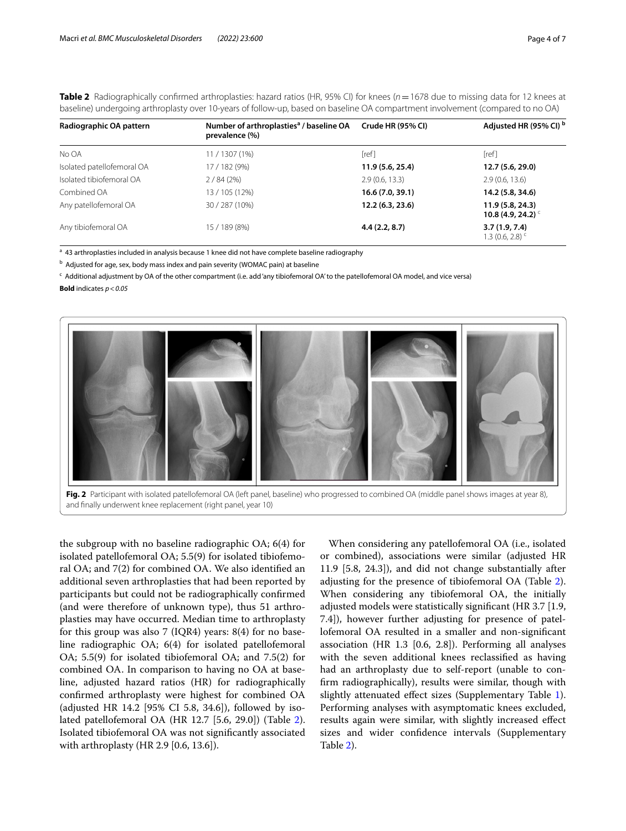| Radiographic OA pattern    | Number of arthroplasties <sup>a</sup> / baseline OA<br>prevalence (%) | Crude HR (95% CI) | Adjusted HR (95% CI) <sup>b</sup>                |
|----------------------------|-----------------------------------------------------------------------|-------------------|--------------------------------------------------|
| No OA                      | 11/1307 (1%)                                                          | [ref]             | [ref]                                            |
| Isolated patellofemoral OA | 17 / 182 (9%)                                                         | 11.9 (5.6, 25.4)  | 12.7 (5.6, 29.0)                                 |
| Isolated tibiofemoral OA   | 2/84(2%)                                                              | 2.9(0.6, 13.3)    | 2.9(0.6, 13.6)                                   |
| Combined OA                | 13/105 (12%)                                                          | 16.6 (7.0, 39.1)  | 14.2 (5.8, 34.6)                                 |
| Any patellofemoral OA      | 30 / 287 (10%)                                                        | 12.2 (6.3, 23.6)  | 11.9(5.8, 24.3)<br>10.8 (4.9, 24.2) <sup>c</sup> |
| Any tibiofemoral OA        | 15 / 189 (8%)                                                         | 4.4(2.2, 8.7)     | 3.7(1.9, 7.4)<br>1.3 (0.6, 2.8) <sup>c</sup>     |

<span id="page-3-0"></span>**Table 2** Radiographically confirmed arthroplasties: hazard ratios (HR, 95% CI) for knees ( $n = 1678$  due to missing data for 12 knees at baseline) undergoing arthroplasty over 10-years of follow-up, based on baseline OA compartment involvement (compared to no OA)

<sup>a</sup> 43 arthroplasties included in analysis because 1 knee did not have complete baseline radiography

<sup>b</sup> Adjusted for age, sex, body mass index and pain severity (WOMAC pain) at baseline

<sup>c</sup> Additional adjustment by OA of the other compartment (i.e. add 'any tibiofemoral OA' to the patellofemoral OA model, and vice versa)

**Bold** indicates *p*<*0.05*



<span id="page-3-1"></span>

the subgroup with no baseline radiographic OA; 6(4) for isolated patellofemoral OA; 5.5(9) for isolated tibiofemoral OA; and 7(2) for combined OA. We also identifed an additional seven arthroplasties that had been reported by participants but could not be radiographically confrmed (and were therefore of unknown type), thus 51 arthroplasties may have occurred. Median time to arthroplasty for this group was also 7 (IQR4) years:  $8(4)$  for no baseline radiographic OA; 6(4) for isolated patellofemoral OA; 5.5(9) for isolated tibiofemoral OA; and 7.5(2) for combined OA. In comparison to having no OA at baseline, adjusted hazard ratios (HR) for radiographically confrmed arthroplasty were highest for combined OA (adjusted HR 14.2 [95% CI 5.8, 34.6]), followed by isolated patellofemoral OA (HR 12.7 [5.6, 29.0]) (Table [2](#page-3-0)). Isolated tibiofemoral OA was not signifcantly associated with arthroplasty (HR 2.9 [0.6, 13.6]).

When considering any patellofemoral OA (i.e., isolated or combined), associations were similar (adjusted HR 11.9 [5.8, 24.3]), and did not change substantially after adjusting for the presence of tibiofemoral OA (Table [2](#page-3-0)). When considering any tibiofemoral OA, the initially adjusted models were statistically signifcant (HR 3.7 [1.9, 7.4]), however further adjusting for presence of patellofemoral OA resulted in a smaller and non-signifcant association (HR 1.3 [0.6, 2.8]). Performing all analyses with the seven additional knees reclassifed as having had an arthroplasty due to self-report (unable to confrm radiographically), results were similar, though with slightly attenuated effect sizes (Supplementary Table [1](#page-5-0)). Performing analyses with asymptomatic knees excluded, results again were similar, with slightly increased efect sizes and wider confdence intervals (Supplementary Table [2](#page-5-1)).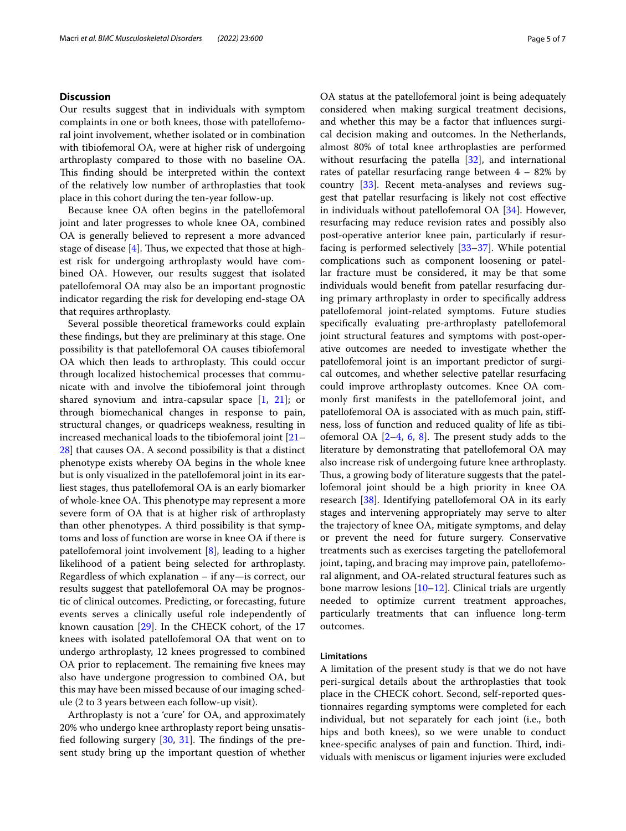# **Discussion**

Our results suggest that in individuals with symptom complaints in one or both knees, those with patellofemoral joint involvement, whether isolated or in combination with tibiofemoral OA, were at higher risk of undergoing arthroplasty compared to those with no baseline OA. This finding should be interpreted within the context of the relatively low number of arthroplasties that took place in this cohort during the ten-year follow-up.

Because knee OA often begins in the patellofemoral joint and later progresses to whole knee OA, combined OA is generally believed to represent a more advanced stage of disease  $[4]$  $[4]$ . Thus, we expected that those at highest risk for undergoing arthroplasty would have combined OA. However, our results suggest that isolated patellofemoral OA may also be an important prognostic indicator regarding the risk for developing end-stage OA that requires arthroplasty.

Several possible theoretical frameworks could explain these fndings, but they are preliminary at this stage. One possibility is that patellofemoral OA causes tibiofemoral OA which then leads to arthroplasty. This could occur through localized histochemical processes that communicate with and involve the tibiofemoral joint through shared synovium and intra-capsular space [[1](#page-6-0), [21\]](#page-6-18); or through biomechanical changes in response to pain, structural changes, or quadriceps weakness, resulting in increased mechanical loads to the tibiofemoral joint [[21–](#page-6-18) [28\]](#page-6-19) that causes OA. A second possibility is that a distinct phenotype exists whereby OA begins in the whole knee but is only visualized in the patellofemoral joint in its earliest stages, thus patellofemoral OA is an early biomarker of whole-knee OA. This phenotype may represent a more severe form of OA that is at higher risk of arthroplasty than other phenotypes. A third possibility is that symptoms and loss of function are worse in knee OA if there is patellofemoral joint involvement [\[8](#page-6-6)], leading to a higher likelihood of a patient being selected for arthroplasty. Regardless of which explanation – if any—is correct, our results suggest that patellofemoral OA may be prognostic of clinical outcomes. Predicting, or forecasting, future events serves a clinically useful role independently of known causation [\[29\]](#page-6-20). In the CHECK cohort, of the 17 knees with isolated patellofemoral OA that went on to undergo arthroplasty, 12 knees progressed to combined OA prior to replacement. The remaining five knees may also have undergone progression to combined OA, but this may have been missed because of our imaging schedule (2 to 3 years between each follow-up visit).

Arthroplasty is not a 'cure' for OA, and approximately 20% who undergo knee arthroplasty report being unsatisfied following surgery  $[30, 31]$  $[30, 31]$  $[30, 31]$  $[30, 31]$  $[30, 31]$ . The findings of the present study bring up the important question of whether OA status at the patellofemoral joint is being adequately considered when making surgical treatment decisions, and whether this may be a factor that infuences surgical decision making and outcomes. In the Netherlands, almost 80% of total knee arthroplasties are performed without resurfacing the patella  $[32]$  $[32]$ , and international rates of patellar resurfacing range between  $4 - 82\%$  by country [[33](#page-6-24)]. Recent meta-analyses and reviews suggest that patellar resurfacing is likely not cost efective in individuals without patellofemoral OA [[34\]](#page-6-25). However, resurfacing may reduce revision rates and possibly also post-operative anterior knee pain, particularly if resurfacing is performed selectively [[33–](#page-6-24)[37](#page-6-26)]. While potential complications such as component loosening or patellar fracture must be considered, it may be that some individuals would beneft from patellar resurfacing during primary arthroplasty in order to specifcally address patellofemoral joint-related symptoms. Future studies specifcally evaluating pre-arthroplasty patellofemoral joint structural features and symptoms with post-operative outcomes are needed to investigate whether the patellofemoral joint is an important predictor of surgical outcomes, and whether selective patellar resurfacing could improve arthroplasty outcomes. Knee OA commonly frst manifests in the patellofemoral joint, and patellofemoral OA is associated with as much pain, stifness, loss of function and reduced quality of life as tibiofemoral OA  $[2-4, 6, 8]$  $[2-4, 6, 8]$  $[2-4, 6, 8]$  $[2-4, 6, 8]$  $[2-4, 6, 8]$  $[2-4, 6, 8]$ . The present study adds to the literature by demonstrating that patellofemoral OA may also increase risk of undergoing future knee arthroplasty. Thus, a growing body of literature suggests that the patellofemoral joint should be a high priority in knee OA research [\[38\]](#page-6-27). Identifying patellofemoral OA in its early stages and intervening appropriately may serve to alter the trajectory of knee OA, mitigate symptoms, and delay or prevent the need for future surgery. Conservative treatments such as exercises targeting the patellofemoral joint, taping, and bracing may improve pain, patellofemoral alignment, and OA-related structural features such as bone marrow lesions [\[10](#page-6-8)[–12\]](#page-6-9). Clinical trials are urgently needed to optimize current treatment approaches, particularly treatments that can infuence long-term outcomes.

# **Limitations**

A limitation of the present study is that we do not have peri-surgical details about the arthroplasties that took place in the CHECK cohort. Second, self-reported questionnaires regarding symptoms were completed for each individual, but not separately for each joint (i.e., both hips and both knees), so we were unable to conduct knee-specific analyses of pain and function. Third, individuals with meniscus or ligament injuries were excluded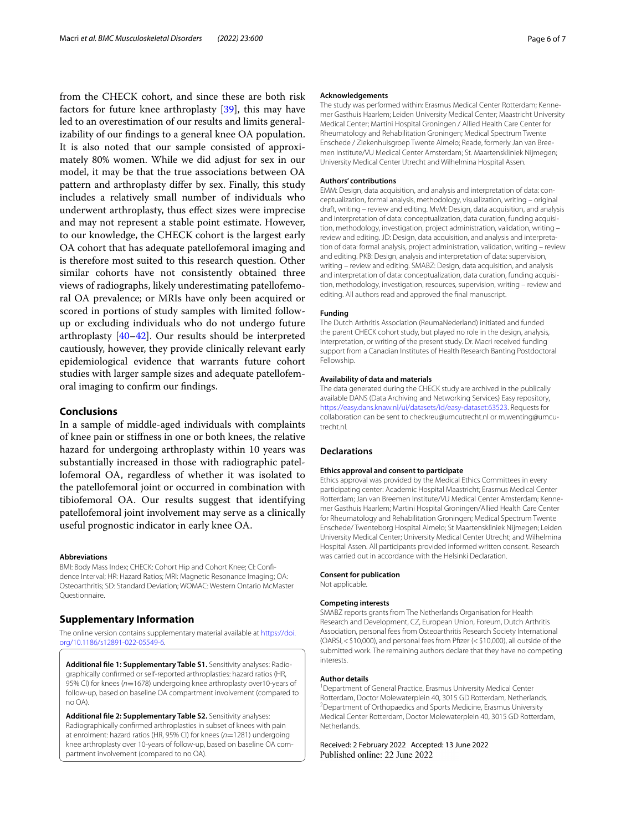from the CHECK cohort, and since these are both risk factors for future knee arthroplasty [[39\]](#page-6-28), this may have led to an overestimation of our results and limits generalizability of our fndings to a general knee OA population. It is also noted that our sample consisted of approximately 80% women. While we did adjust for sex in our model, it may be that the true associations between OA pattern and arthroplasty difer by sex. Finally, this study includes a relatively small number of individuals who underwent arthroplasty, thus efect sizes were imprecise and may not represent a stable point estimate. However, to our knowledge, the CHECK cohort is the largest early OA cohort that has adequate patellofemoral imaging and is therefore most suited to this research question. Other similar cohorts have not consistently obtained three views of radiographs, likely underestimating patellofemoral OA prevalence; or MRIs have only been acquired or scored in portions of study samples with limited followup or excluding individuals who do not undergo future arthroplasty [\[40](#page-6-29)[–42](#page-6-30)]. Our results should be interpreted cautiously, however, they provide clinically relevant early epidemiological evidence that warrants future cohort studies with larger sample sizes and adequate patellofemoral imaging to confrm our fndings.

## **Conclusions**

In a sample of middle-aged individuals with complaints of knee pain or stifness in one or both knees, the relative hazard for undergoing arthroplasty within 10 years was substantially increased in those with radiographic patellofemoral OA, regardless of whether it was isolated to the patellofemoral joint or occurred in combination with tibiofemoral OA. Our results suggest that identifying patellofemoral joint involvement may serve as a clinically useful prognostic indicator in early knee OA.

#### **Abbreviations**

BMI: Body Mass Index; CHECK: Cohort Hip and Cohort Knee; CI: Confidence Interval; HR: Hazard Ratios; MRI: Magnetic Resonance Imaging; OA: Osteoarthritis; SD: Standard Deviation; WOMAC: Western Ontario McMaster Questionnaire.

# **Supplementary Information**

The online version contains supplementary material available at [https://doi.](https://doi.org/10.1186/s12891-022-05549-6) [org/10.1186/s12891-022-05549-6](https://doi.org/10.1186/s12891-022-05549-6).

<span id="page-5-0"></span>Additional file 1: Supplementary Table S1. Sensitivity analyses: Radiographically confrmed or self-reported arthroplasties: hazard ratios (HR, 95% CI) for knees (*n*=1678) undergoing knee arthroplasty over10-years of follow-up, based on baseline OA compartment involvement (compared to no OA).

<span id="page-5-1"></span>**Additional fle 2: Supplementary Table S2.** Sensitivity analyses: Radiographically confrmed arthroplasties in subset of knees with pain at enrolment: hazard ratios (HR, 95% CI) for knees (*n*=1281) undergoing knee arthroplasty over 10-years of follow-up, based on baseline OA compartment involvement (compared to no OA).

#### **Acknowledgements**

The study was performed within: Erasmus Medical Center Rotterdam; Kennemer Gasthuis Haarlem; Leiden University Medical Center; Maastricht University Medical Center; Martini Hospital Groningen / Allied Health Care Center for Rheumatology and Rehabilitation Groningen; Medical Spectrum Twente Enschede / Ziekenhuisgroep Twente Almelo; Reade, formerly Jan van Bree‑ men Institute/VU Medical Center Amsterdam; St. Maartenskliniek Nijmegen; University Medical Center Utrecht and Wilhelmina Hospital Assen.

#### **Authors' contributions**

EMM: Design, data acquisition, and analysis and interpretation of data: conceptualization, formal analysis, methodology, visualization, writing – original draft, writing – review and editing. MvM: Design, data acquisition, and analysis and interpretation of data: conceptualization, data curation, funding acquisition, methodology, investigation, project administration, validation, writing – review and editing. JD: Design, data acquisition, and analysis and interpreta‑ tion of data: formal analysis, project administration, validation, writing – review and editing. PKB: Design, analysis and interpretation of data: supervision, writing – review and editing. SMABZ: Design, data acquisition, and analysis and interpretation of data: conceptualization, data curation, funding acquisition, methodology, investigation, resources, supervision, writing – review and editing. All authors read and approved the fnal manuscript.

### **Funding**

The Dutch Arthritis Association (ReumaNederland) initiated and funded the parent CHECK cohort study, but played no role in the design, analysis, interpretation, or writing of the present study. Dr. Macri received funding support from a Canadian Institutes of Health Research Banting Postdoctoral Fellowship.

#### **Availability of data and materials**

The data generated during the CHECK study are archived in the publically available DANS (Data Archiving and Networking Services) Easy repository, [https://easy.dans.knaw.nl/ui/datasets/id/easy-dataset:63523.](https://easy.dans.knaw.nl/ui/datasets/id/easy-dataset:63523) Requests for collaboration can be sent to checkreu@umcutrecht.nl or m.wenting@umcutrecht.nl.

## **Declarations**

#### **Ethics approval and consent to participate**

Ethics approval was provided by the Medical Ethics Committees in every participating center: Academic Hospital Maastricht; Erasmus Medical Center Rotterdam; Jan van Breemen Institute/VU Medical Center Amsterdam; Kenne‑ mer Gasthuis Haarlem; Martini Hospital Groningen/Allied Health Care Center for Rheumatology and Rehabilitation Groningen; Medical Spectrum Twente Enschede/ Twenteborg Hospital Almelo; St Maartenskliniek Nijmegen; Leiden University Medical Center; University Medical Center Utrecht; and Wilhelmina Hospital Assen. All participants provided informed written consent. Research was carried out in accordance with the Helsinki Declaration.

#### **Consent for publication**

Not applicable.

#### **Competing interests**

SMABZ reports grants from The Netherlands Organisation for Health Research and Development, CZ, European Union, Foreum, Dutch Arthritis Association, personal fees from Osteoarthritis Research Society International (OARSI,<\$10,000), and personal fees from Pfzer (<\$10,000), all outside of the submitted work. The remaining authors declare that they have no competing interests.

#### **Author details**

<sup>1</sup> Department of General Practice, Erasmus University Medical Center Rotterdam, Doctor Molewaterplein 40, 3015 GD Rotterdam, Netherlands. 2 <sup>2</sup> Department of Orthopaedics and Sports Medicine, Erasmus University Medical Center Rotterdam, Doctor Molewaterplein 40, 3015 GD Rotterdam, **Netherlands** 

Received: 2 February 2022 Accepted: 13 June 2022Published online: 22 June 2022